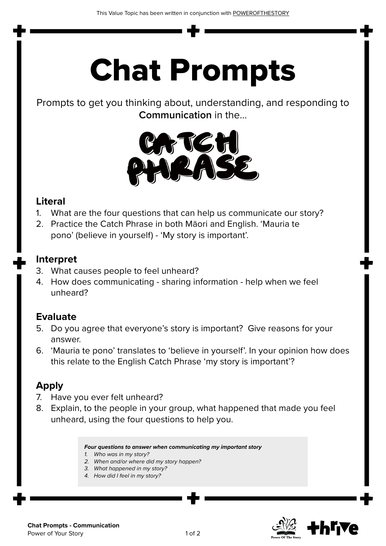# Chat Prompts

Prompts to get you thinking about, understanding, and responding to **Communication** in the...



#### **Literal**

- 1. What are the four questions that can help us communicate our story?
- 2. Practice the Catch Phrase in both Māori and English. 'Mauria te pono' (believe in yourself) - 'My story is important'.

#### **Interpret**

- 3. What causes people to feel unheard?
- 4. How does communicating sharing information help when we feel unheard?

#### **Evaluate**

- 5. Do you agree that everyone's story is important? Give reasons for your answer.
- 6. 'Mauria te pono' translates to 'believe in yourself'. In your opinion how does this relate to the English Catch Phrase 'my story is important'?

#### **Apply**

- 7. Have you ever felt unheard?
- 8. Explain, to the people in your group, what happened that made you feel unheard, using the four questions to help you.

*Four questions to answer when communicating my important story*

- *1. Who was in my story?*
- *2. When and/or where did my story happen?*
- *3. What happened in my story?*
- *4. How did I feel in my story?*